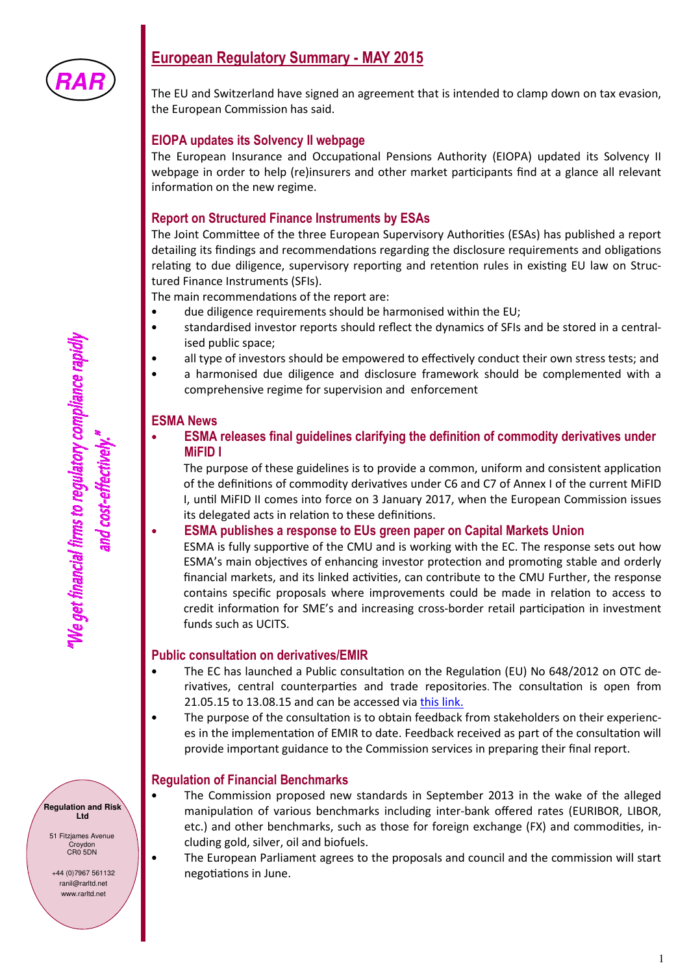

# **European Regulatory Summary - MAY 2015**

The EU and Switzerland have signed an agreement that is intended to clamp down on tax evasion, the European Commission has said.

## **EIOPA updates its Solvency II webpage**

The European Insurance and Occupational Pensions Authority (EIOPA) updated its Solvency II webpage in order to help (re)insurers and other market participants find at a glance all relevant information on the new regime.

## **Report on Structured Finance Instruments by ESAs**

The Joint Committee of the three European Supervisory Authorities (ESAs) has published a report detailing its findings and recommendations regarding the disclosure requirements and obligations relating to due diligence, supervisory reporting and retention rules in existing EU law on Structured Finance Instruments (SFIs).

The main recommendations of the report are:

- due diligence requirements should be harmonised within the EU;
- standardised investor reports should reflect the dynamics of SFIs and be stored in a centralised public space;
- all type of investors should be empowered to effectively conduct their own stress tests; and
- a harmonised due diligence and disclosure framework should be complemented with a comprehensive regime for supervision and enforcement

#### **ESMA News**

• **ESMA releases final guidelines clarifying the definition of commodity derivatives under MiFID I** 

The purpose of these guidelines is to provide a common, uniform and consistent application of the definitions of commodity derivatives under C6 and C7 of Annex I of the current MiFID I, until MiFID II comes into force on 3 January 2017, when the European Commission issues its delegated acts in relation to these definitions.

#### • **ESMA publishes a response to EUs green paper on Capital Markets Union**

ESMA is fully supportive of the CMU and is working with the EC. The response sets out how ESMA's main objectives of enhancing investor protection and promoting stable and orderly financial markets, and its linked activities, can contribute to the CMU Further, the response contains specific proposals where improvements could be made in relation to access to credit information for SME's and increasing cross-border retail participation in investment funds such as UCITS.

### **Public consultation on derivatives/EMIR**

- The EC has launched a Public consultation on the Regulation (EU) No 648/2012 on OTC derivatives, central counterparties and trade repositories. The consultation is open from 21.05.15 to 13.08.15 and can be accessed via this link.
- The purpose of the consultation is to obtain feedback from stakeholders on their experiences in the implementation of EMIR to date. Feedback received as part of the consultation will provide important guidance to the Commission services in preparing their final report.

### **Regulation of Financial Benchmarks**

- The Commission proposed new standards in September 2013 in the wake of the alleged manipulation of various benchmarks including inter-bank offered rates (EURIBOR, LIBOR, etc.) and other benchmarks, such as those for foreign exchange (FX) and commodities, including gold, silver, oil and biofuels.
- The European Parliament agrees to the proposals and council and the commission will start negotiations in June.

**Regulation and Risk Ltd** 

51 Fitzjames Avenue .<br>Croydon CR0 5DN

+44 (0)7967 561132 ranil@rarltd.net www.rarltd.net